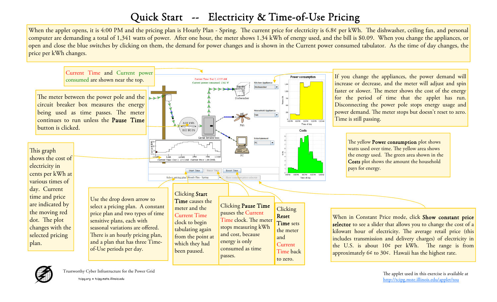## Quick Start -- Electricity & Time-of-Use Pricing

When the applet opens, it is 4:00 PM and the pricing plan is Hourly Plan - Spring. The current price for electricity is 6.8¢ per kWh. The dishwasher, ceiling fan, and personal computer are demanding a total of 1,341 watts of power. After one hour, the meter shows 1.34 kWh of energy used, and the bill is \$0.09. When you change the appliances, or open and close the blue switches by clicking on them, the demand for power changes and is shown in the Current power consumed tabulator. As the time of day changes, the price per kWh changes.





The applet used in this exercise is available at http://tcipg.mste.illinois.edu/applet/tou